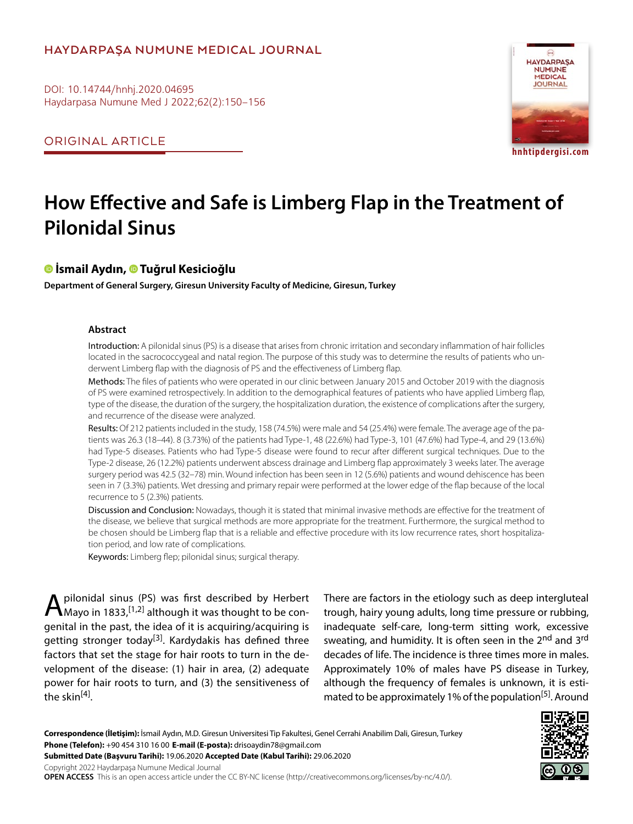# **HAYDARPAŞA NUMUNE MEDICAL JOURNAL**

DOI: 10.14744/hnhj.2020.04695 Haydarpasa Numune Med J 2022;62(2):150–156

ORIGINAL ARTICLE



# **How Effective and Safe is Limberg Flap in the Treatment of Pilonidal Sinus**

# **İsmail Aydın, [T](https://orcid.org/0000-0002-9263-5032
)uğrul Kesicioğlu**

**Department of General Surgery, Giresun University Faculty of Medicine, Giresun, Turkey**

#### **Abstract**

Introduction: A pilonidal sinus (PS) is a disease that arises from chronic irritation and secondary inflammation of hair follicles located in the sacrococcygeal and natal region. The purpose of this study was to determine the results of patients who underwent Limberg flap with the diagnosis of PS and the effectiveness of Limberg flap.

Methods: The files of patients who were operated in our clinic between January 2015 and October 2019 with the diagnosis of PS were examined retrospectively. In addition to the demographical features of patients who have applied Limberg flap, type of the disease, the duration of the surgery, the hospitalization duration, the existence of complications after the surgery, and recurrence of the disease were analyzed.

Results: Of 212 patients included in the study, 158 (74.5%) were male and 54 (25.4%) were female. The average age of the patients was 26.3 (18–44). 8 (3.73%) of the patients had Type-1, 48 (22.6%) had Type-3, 101 (47.6%) had Type-4, and 29 (13.6%) had Type-5 diseases. Patients who had Type-5 disease were found to recur after different surgical techniques. Due to the Type-2 disease, 26 (12.2%) patients underwent abscess drainage and Limberg flap approximately 3 weeks later. The average surgery period was 42.5 (32–78) min. Wound infection has been seen in 12 (5.6%) patients and wound dehiscence has been seen in 7 (3.3%) patients. Wet dressing and primary repair were performed at the lower edge of the flap because of the local recurrence to 5 (2.3%) patients.

Discussion and Conclusion: Nowadays, though it is stated that minimal invasive methods are effective for the treatment of the disease, we believe that surgical methods are more appropriate for the treatment. Furthermore, the surgical method to be chosen should be Limberg flap that is a reliable and effective procedure with its low recurrence rates, short hospitalization period, and low rate of complications.

Keywords: Limberg flep; pilonidal sinus; surgical therapy.

**A** pilonidal sinus (PS) was first described by Herbert Mayo in 1833, [1,2] although it was thought to be congenital in the past, the idea of it is acquiring/acquiring is getting stronger today<sup>[3]</sup>. Kardydakis has defined three factors that set the stage for hair roots to turn in the development of the disease: (1) hair in area, (2) adequate power for hair roots to turn, and (3) the sensitiveness of the skin $[4]$ .

There are factors in the etiology such as deep intergluteal trough, hairy young adults, long time pressure or rubbing, inadequate self-care, long-term sitting work, excessive sweating, and humidity. It is often seen in the 2<sup>nd</sup> and 3<sup>rd</sup> decades of life. The incidence is three times more in males. Approximately 10% of males have PS disease in Turkey, although the frequency of females is unknown, it is estimated to be approximately 1% of the population<sup>[5]</sup>. Around

**Correspondence (İletişim):** İsmail Aydın, M.D. Giresun Universitesi Tip Fakultesi, Genel Cerrahi Anabilim Dali, Giresun, Turkey **Phone (Telefon):** +90 454 310 16 00 **E-mail (E-posta):** drisoaydin78@gmail.com **Submitted Date (Başvuru Tarihi):** 19.06.2020 **Accepted Date (Kabul Tarihi):** 29.06.2020 Copyright 2022 Haydarpaşa Numune Medical Journal

**OPEN ACCESS** This is an open access article under the CC BY-NC license (http://creativecommons.org/licenses/by-nc/4.0/).

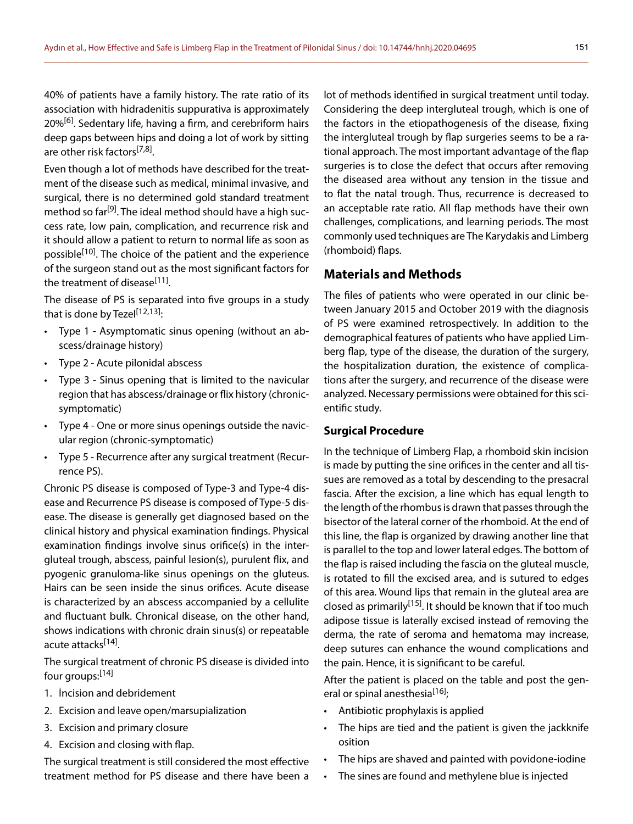40% of patients have a family history. The rate ratio of its association with hidradenitis suppurativa is approximately 20%<sup>[6]</sup>. Sedentary life, having a firm, and cerebriform hairs deep gaps between hips and doing a lot of work by sitting are other risk factors<sup>[7,8]</sup>.

Even though a lot of methods have described for the treatment of the disease such as medical, minimal invasive, and surgical, there is no determined gold standard treatment method so far<sup>[9]</sup>. The ideal method should have a high success rate, low pain, complication, and recurrence risk and it should allow a patient to return to normal life as soon as possible<sup>[10]</sup>. The choice of the patient and the experience of the surgeon stand out as the most significant factors for the treatment of disease<sup>[11]</sup>.

The disease of PS is separated into five groups in a study that is done by Tezel<sup>[12,13]</sup>:

- Type 1 Asymptomatic sinus opening (without an abscess/drainage history)
- Type 2 Acute pilonidal abscess
- Type 3 Sinus opening that is limited to the navicular region that has abscess/drainage or flix history (chronicsymptomatic)
- Type 4 One or more sinus openings outside the navicular region (chronic-symptomatic)
- Type 5 Recurrence after any surgical treatment (Recurrence PS).

Chronic PS disease is composed of Type-3 and Type-4 disease and Recurrence PS disease is composed of Type-5 disease. The disease is generally get diagnosed based on the clinical history and physical examination findings. Physical examination findings involve sinus orifice(s) in the intergluteal trough, abscess, painful lesion(s), purulent flix, and pyogenic granuloma-like sinus openings on the gluteus. Hairs can be seen inside the sinus orifices. Acute disease is characterized by an abscess accompanied by a cellulite and fluctuant bulk. Chronical disease, on the other hand, shows indications with chronic drain sinus(s) or repeatable acute attacks<sup>[14]</sup>.

The surgical treatment of chronic PS disease is divided into four groups:<sup>[14]</sup>

- 1. İncision and debridement
- 2. Excision and leave open/marsupialization
- 3. Excision and primary closure
- 4. Excision and closing with flap.

The surgical treatment is still considered the most effective treatment method for PS disease and there have been a lot of methods identified in surgical treatment until today. Considering the deep intergluteal trough, which is one of the factors in the etiopathogenesis of the disease, fixing the intergluteal trough by flap surgeries seems to be a rational approach. The most important advantage of the flap surgeries is to close the defect that occurs after removing the diseased area without any tension in the tissue and to flat the natal trough. Thus, recurrence is decreased to an acceptable rate ratio. All flap methods have their own challenges, complications, and learning periods. The most commonly used techniques are The Karydakis and Limberg (rhomboid) flaps.

### **Materials and Methods**

The files of patients who were operated in our clinic between January 2015 and October 2019 with the diagnosis of PS were examined retrospectively. In addition to the demographical features of patients who have applied Limberg flap, type of the disease, the duration of the surgery, the hospitalization duration, the existence of complications after the surgery, and recurrence of the disease were analyzed. Necessary permissions were obtained for this scientific study.

#### **Surgical Procedure**

In the technique of Limberg Flap, a rhomboid skin incision is made by putting the sine orifices in the center and all tissues are removed as a total by descending to the presacral fascia. After the excision, a line which has equal length to the length of the rhombus is drawn that passes through the bisector of the lateral corner of the rhomboid. At the end of this line, the flap is organized by drawing another line that is parallel to the top and lower lateral edges. The bottom of the flap is raised including the fascia on the gluteal muscle, is rotated to fill the excised area, and is sutured to edges of this area. Wound lips that remain in the gluteal area are closed as primarily<sup>[15]</sup>. It should be known that if too much adipose tissue is laterally excised instead of removing the derma, the rate of seroma and hematoma may increase, deep sutures can enhance the wound complications and the pain. Hence, it is significant to be careful.

After the patient is placed on the table and post the general or spinal anesthesia<sup>[16]</sup>;

- Antibiotic prophylaxis is applied
- The hips are tied and the patient is given the jackknife osition
- The hips are shaved and painted with povidone-iodine
- The sines are found and methylene blue is injected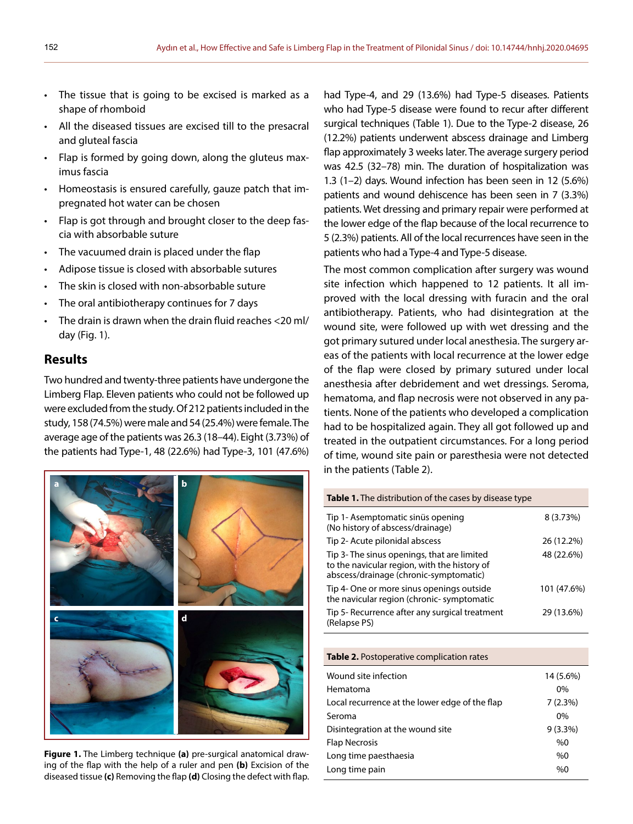- The tissue that is going to be excised is marked as a shape of rhomboid
- All the diseased tissues are excised till to the presacral and gluteal fascia
- Flap is formed by going down, along the gluteus maximus fascia
- Homeostasis is ensured carefully, gauze patch that impregnated hot water can be chosen
- Flap is got through and brought closer to the deep fascia with absorbable suture
- The vacuumed drain is placed under the flap
- Adipose tissue is closed with absorbable sutures
- The skin is closed with non-absorbable suture
- The oral antibiotherapy continues for 7 days
- The drain is drawn when the drain fluid reaches <20 ml/ day (Fig. 1).

## **Results**

Two hundred and twenty-three patients have undergone the Limberg Flap. Eleven patients who could not be followed up were excluded from the study. Of 212 patients included in the study, 158 (74.5%) were male and 54 (25.4%) were female. The average age of the patients was 26.3 (18–44). Eight (3.73%) of the patients had Type-1, 48 (22.6%) had Type-3, 101 (47.6%)



**Figure 1.** The Limberg technique **(a)** pre-surgical anatomical drawing of the flap with the help of a ruler and pen **(b)** Excision of the diseased tissue **(c)** Removing the flap **(d)** Closing the defect with flap.

had Type-4, and 29 (13.6%) had Type-5 diseases. Patients who had Type-5 disease were found to recur after different surgical techniques (Table 1). Due to the Type-2 disease, 26 (12.2%) patients underwent abscess drainage and Limberg flap approximately 3 weeks later. The average surgery period was 42.5 (32–78) min. The duration of hospitalization was 1.3 (1–2) days. Wound infection has been seen in 12 (5.6%) patients and wound dehiscence has been seen in 7 (3.3%) patients. Wet dressing and primary repair were performed at the lower edge of the flap because of the local recurrence to 5 (2.3%) patients. All of the local recurrences have seen in the patients who had a Type-4 and Type-5 disease.

The most common complication after surgery was wound site infection which happened to 12 patients. It all improved with the local dressing with furacin and the oral antibiotherapy. Patients, who had disintegration at the wound site, were followed up with wet dressing and the got primary sutured under local anesthesia. The surgery areas of the patients with local recurrence at the lower edge of the flap were closed by primary sutured under local anesthesia after debridement and wet dressings. Seroma, hematoma, and flap necrosis were not observed in any patients. None of the patients who developed a complication had to be hospitalized again. They all got followed up and treated in the outpatient circumstances. For a long period of time, wound site pain or paresthesia were not detected in the patients (Table 2).

| <b>Table 1.</b> The distribution of the cases by disease type                                                                         |             |
|---------------------------------------------------------------------------------------------------------------------------------------|-------------|
| Tip 1- Asemptomatic sinüs opening<br>(No history of abscess/drainage)                                                                 | $8(3.73\%)$ |
| Tip 2- Acute pilonidal abscess                                                                                                        | 26 (12.2%)  |
| Tip 3- The sinus openings, that are limited<br>to the navicular region, with the history of<br>abscess/drainage (chronic-symptomatic) | 48 (22.6%)  |
| Tip 4- One or more sinus openings outside<br>the navicular region (chronic- symptomatic                                               | 101 (47.6%) |
| Tip 5- Recurrence after any surgical treatment<br>(Relapse PS)                                                                        | 29 (13.6%)  |

#### **Table 2.** Postoperative complication rates

| Wound site infection<br>14 (5.6%)<br>Hematoma<br>$0\%$<br>7(2.3%)<br>Local recurrence at the lower edge of the flap |  |
|---------------------------------------------------------------------------------------------------------------------|--|
| Seroma<br>$0\%$<br>Disintegration at the wound site<br>$9(3.3\%)$<br><b>Flap Necrosis</b><br>%0                     |  |
| Long time paesthaesia<br>%0<br>Long time pain<br>%0                                                                 |  |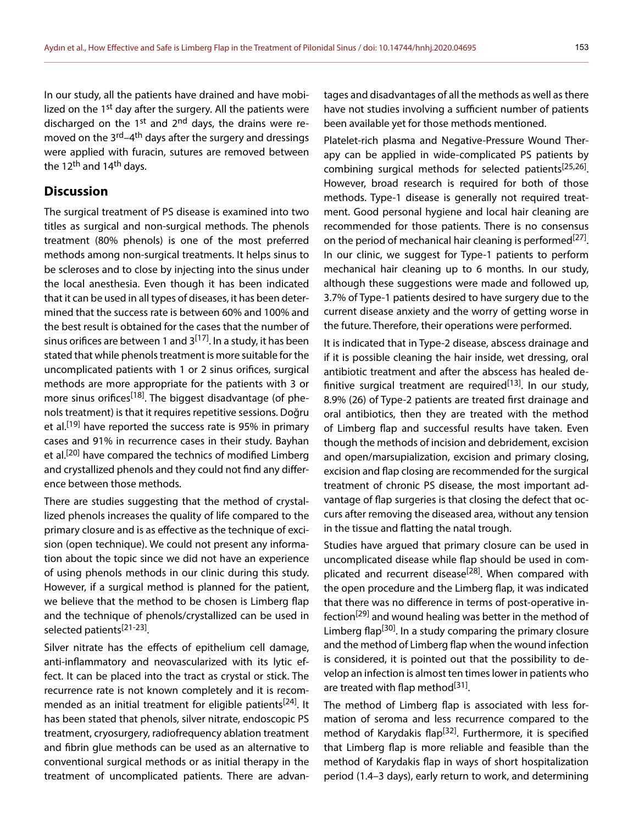In our study, all the patients have drained and have mobilized on the 1<sup>st</sup> day after the surgery. All the patients were discharged on the 1<sup>st</sup> and 2<sup>nd</sup> days, the drains were removed on the 3<sup>rd</sup>–4<sup>th</sup> days after the surgery and dressings were applied with furacin, sutures are removed between the 12<sup>th</sup> and 14<sup>th</sup> days.

# **Discussion**

The surgical treatment of PS disease is examined into two titles as surgical and non-surgical methods. The phenols treatment (80% phenols) is one of the most preferred methods among non-surgical treatments. It helps sinus to be scleroses and to close by injecting into the sinus under the local anesthesia. Even though it has been indicated that it can be used in all types of diseases, it has been determined that the success rate is between 60% and 100% and the best result is obtained for the cases that the number of sinus orifices are between 1 and  $3^{[17]}$ . In a study, it has been stated that while phenols treatment is more suitable for the uncomplicated patients with 1 or 2 sinus orifices, surgical methods are more appropriate for the patients with 3 or more sinus orifices<sup>[18]</sup>. The biggest disadvantage (of phenols treatment) is that it requires repetitive sessions. Doğru et al.<sup>[19]</sup> have reported the success rate is 95% in primary cases and 91% in recurrence cases in their study. Bayhan et al.<sup>[20]</sup> have compared the technics of modified Limberg and crystallized phenols and they could not find any difference between those methods.

There are studies suggesting that the method of crystallized phenols increases the quality of life compared to the primary closure and is as effective as the technique of excision (open technique). We could not present any information about the topic since we did not have an experience of using phenols methods in our clinic during this study. However, if a surgical method is planned for the patient, we believe that the method to be chosen is Limberg flap and the technique of phenols/crystallized can be used in selected patients<sup>[21-23]</sup>.

Silver nitrate has the effects of epithelium cell damage, anti-inflammatory and neovascularized with its lytic effect. It can be placed into the tract as crystal or stick. The recurrence rate is not known completely and it is recommended as an initial treatment for eligible patients<sup>[24]</sup>. It has been stated that phenols, silver nitrate, endoscopic PS treatment, cryosurgery, radiofrequency ablation treatment and fibrin glue methods can be used as an alternative to conventional surgical methods or as initial therapy in the treatment of uncomplicated patients. There are advan-

tages and disadvantages of all the methods as well as there have not studies involving a sufficient number of patients been available yet for those methods mentioned.

Platelet-rich plasma and Negative-Pressure Wound Therapy can be applied in wide-complicated PS patients by combining surgical methods for selected patients[25,26]. However, broad research is required for both of those methods. Type-1 disease is generally not required treatment. Good personal hygiene and local hair cleaning are recommended for those patients. There is no consensus on the period of mechanical hair cleaning is performed<sup>[27]</sup>. In our clinic, we suggest for Type-1 patients to perform mechanical hair cleaning up to 6 months. In our study, although these suggestions were made and followed up, 3.7% of Type-1 patients desired to have surgery due to the current disease anxiety and the worry of getting worse in the future. Therefore, their operations were performed.

It is indicated that in Type-2 disease, abscess drainage and if it is possible cleaning the hair inside, wet dressing, oral antibiotic treatment and after the abscess has healed definitive surgical treatment are required<sup>[13]</sup>. In our study, 8.9% (26) of Type-2 patients are treated first drainage and oral antibiotics, then they are treated with the method of Limberg flap and successful results have taken. Even though the methods of incision and debridement, excision and open/marsupialization, excision and primary closing, excision and flap closing are recommended for the surgical treatment of chronic PS disease, the most important advantage of flap surgeries is that closing the defect that occurs after removing the diseased area, without any tension in the tissue and flatting the natal trough.

Studies have argued that primary closure can be used in uncomplicated disease while flap should be used in complicated and recurrent disease<sup>[28]</sup>. When compared with the open procedure and the Limberg flap, it was indicated that there was no difference in terms of post-operative infection<sup>[29]</sup> and wound healing was better in the method of Limberg flap<sup>[30]</sup>. In a study comparing the primary closure and the method of Limberg flap when the wound infection is considered, it is pointed out that the possibility to develop an infection is almost ten times lower in patients who are treated with flap method<sup>[31]</sup>.

The method of Limberg flap is associated with less formation of seroma and less recurrence compared to the method of Karydakis flap<sup>[32]</sup>. Furthermore, it is specified that Limberg flap is more reliable and feasible than the method of Karydakis flap in ways of short hospitalization period (1.4–3 days), early return to work, and determining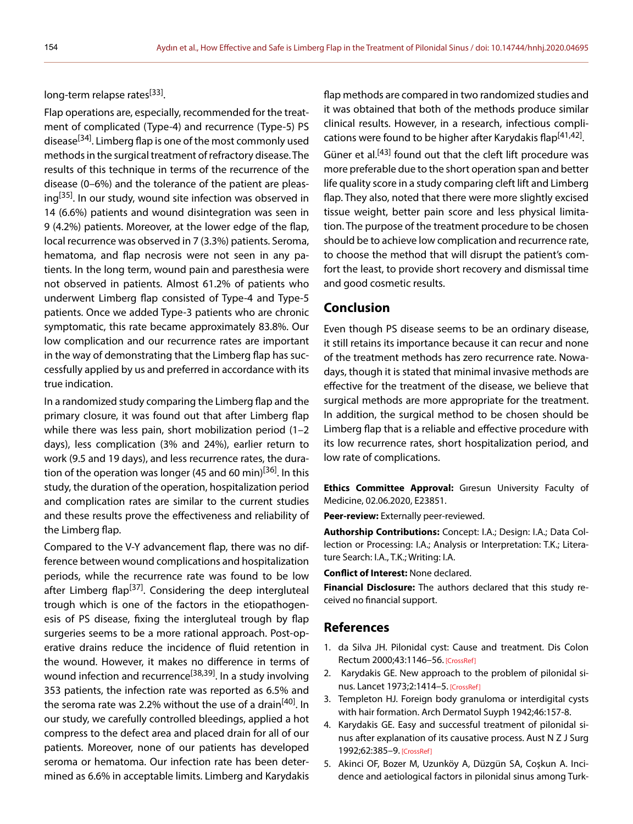long-term relapse rates<sup>[33]</sup>.

Flap operations are, especially, recommended for the treatment of complicated (Type-4) and recurrence (Type-5) PS disease<sup>[34]</sup>. Limberg flap is one of the most commonly used methods in the surgical treatment of refractory disease. The results of this technique in terms of the recurrence of the disease (0–6%) and the tolerance of the patient are pleasing<sup>[35]</sup>. In our study, wound site infection was observed in 14 (6.6%) patients and wound disintegration was seen in 9 (4.2%) patients. Moreover, at the lower edge of the flap, local recurrence was observed in 7 (3.3%) patients. Seroma, hematoma, and flap necrosis were not seen in any patients. In the long term, wound pain and paresthesia were not observed in patients. Almost 61.2% of patients who underwent Limberg flap consisted of Type-4 and Type-5 patients. Once we added Type-3 patients who are chronic symptomatic, this rate became approximately 83.8%. Our low complication and our recurrence rates are important in the way of demonstrating that the Limberg flap has successfully applied by us and preferred in accordance with its true indication.

In a randomized study comparing the Limberg flap and the primary closure, it was found out that after Limberg flap while there was less pain, short mobilization period (1–2 days), less complication (3% and 24%), earlier return to work (9.5 and 19 days), and less recurrence rates, the duration of the operation was longer (45 and 60 min)<sup>[36]</sup>. In this study, the duration of the operation, hospitalization period and complication rates are similar to the current studies and these results prove the effectiveness and reliability of the Limberg flap.

Compared to the V-Y advancement flap, there was no difference between wound complications and hospitalization periods, while the recurrence rate was found to be low after Limberg flap<sup>[37]</sup>. Considering the deep intergluteal trough which is one of the factors in the etiopathogenesis of PS disease, fixing the intergluteal trough by flap surgeries seems to be a more rational approach. Post-operative drains reduce the incidence of fluid retention in the wound. However, it makes no difference in terms of wound infection and recurrence<sup>[38,39]</sup>. In a study involving 353 patients, the infection rate was reported as 6.5% and the seroma rate was 2.2% without the use of a drain<sup>[40]</sup>. In our study, we carefully controlled bleedings, applied a hot compress to the defect area and placed drain for all of our patients. Moreover, none of our patients has developed seroma or hematoma. Our infection rate has been determined as 6.6% in acceptable limits. Limberg and Karydakis flap methods are compared in two randomized studies and it was obtained that both of the methods produce similar clinical results. However, in a research, infectious complications were found to be higher after Karydakis flap<sup>[41,42]</sup>. Güner et al.<sup>[43]</sup> found out that the cleft lift procedure was more preferable due to the short operation span and better life quality score in a study comparing cleft lift and Limberg flap. They also, noted that there were more slightly excised tissue weight, better pain score and less physical limitation. The purpose of the treatment procedure to be chosen should be to achieve low complication and recurrence rate, to choose the method that will disrupt the patient's comfort the least, to provide short recovery and dismissal time and good cosmetic results.

#### **Conclusion**

Even though PS disease seems to be an ordinary disease, it still retains its importance because it can recur and none of the treatment methods has zero recurrence rate. Nowadays, though it is stated that minimal invasive methods are effective for the treatment of the disease, we believe that surgical methods are more appropriate for the treatment. In addition, the surgical method to be chosen should be Limberg flap that is a reliable and effective procedure with its low recurrence rates, short hospitalization period, and low rate of complications.

**Ethics Committee Approval:** Gıresun University Faculty of Medicine, 02.06.2020, E23851.

**Peer-review:** Externally peer-reviewed.

**Authorship Contributions:** Concept: I.A.; Design: I.A.; Data Collection or Processing: I.A.; Analysis or Interpretation: T.K.; Literature Search: I.A., T.K.; Writing: I.A.

**Conflict of Interest:** None declared.

**Financial Disclosure:** The authors declared that this study received no financial support.

#### **References**

- 1. da Silva JH. Pilonidal cyst: Cause and treatment. Dis Colon Rectum 2000;43:1146–56. [\[CrossRef\]](https://doi.org/10.1007/BF02236564)
- 2. Karydakis GE. New approach to the problem of pilonidal sinus. Lancet 1973;2:1414–5[. \[CrossRef\]](https://doi.org/10.1016/S0140-6736(73)92803-1)
- 3. Templeton HJ. Foreign body granuloma or interdigital cysts with hair formation. Arch Dermatol Suyph 1942;46:157-8.
- 4. Karydakis GE. Easy and successful treatment of pilonidal sinus after explanation of its causative process. Aust N Z J Surg 1992;62:385–9. [\[CrossRef\]](https://doi.org/10.1111/j.1445-2197.1992.tb07208.x)
- 5. Akinci OF, Bozer M, Uzunköy A, Düzgün SA, Coşkun A. Incidence and aetiological factors in pilonidal sinus among Turk-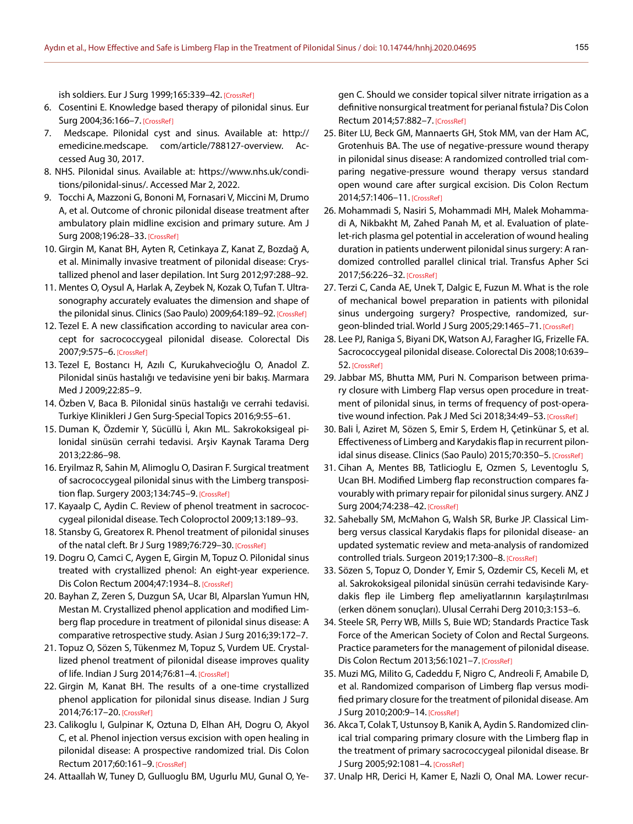ish soldiers. Eur J Surg 1999;165:339–42[. \[CrossRef\]](https://doi.org/10.1080/110241599750006875)

- 6. Cosentini E. Knowledge based therapy of pilonidal sinus. Eur Surg 2004;36:166–7[. \[CrossRef\]](https://doi.org/10.1007/s10353-004-0051-1)
- 7. Medscape. Pilonidal cyst and sinus. Available at: http:// emedicine.medscape. com/article/788127-overview. Accessed Aug 30, 2017.
- 8. NHS. Pilonidal sinus. Available at: https://www.nhs.uk/conditions/pilonidal-sinus/. Accessed Mar 2, 2022.
- 9. Tocchi A, Mazzoni G, Bononi M, Fornasari V, Miccini M, Drumo A, et al. Outcome of chronic pilonidal disease treatment after ambulatory plain midline excision and primary suture. Am J Surg 2008;196:28–33[. \[CrossRef\]](https://doi.org/10.1016/j.amjsurg.2007.05.051)
- 10. Girgin M, Kanat BH, Ayten R, Cetinkaya Z, Kanat Z, Bozdağ A, et al. Minimally invasive treatment of pilonidal disease: Crystallized phenol and laser depilation. Int Surg [2012;97:288–92.](https://doi.org/10.9738/CC130.1)
- 11. Mentes O, Oysul A, Harlak A, Zeybek N, Kozak O, Tufan T. Ultrasonography accurately evaluates the dimension and shape of the pilonidal sinus. Clinics (Sao Paulo) 2009;64:189-92[. \[CrossRef\]](https://doi.org/10.1590/S1807-59322009000300007)
- 12. Tezel E. A new classification according to navicular area concept for sacrococcygeal pilonidal disease. Colorectal Dis 2007;9:575–6. [\[CrossRef\]](https://doi.org/10.1111/j.1463-1318.2007.01236.x)
- 13. Tezel E, Bostancı H, Azılı C, Kurukahvecioğlu O, Anadol Z. Pilonidal sinüs hastalığı ve tedavisine yeni bir bakış. Marmara Med J 2009;22:85–9.
- 14. Özben V, Baca B. Pilonidal sinüs hastalığı ve cerrahi tedavisi. Turkiye Klinikleri J Gen Surg-Special Topics 2016;9:55–61.
- 15. Duman K, Özdemir Y, Sücüllü İ, Akın ML. Sakrokoksigeal pilonidal sinüsün cerrahi tedavisi. Arşiv Kaynak Tarama Derg 2013;22:86–98.
- 16. Eryilmaz R, Sahin M, Alimoglu O, Dasiran F. Surgical treatment of sacrococcygeal pilonidal sinus with the Limberg transposition flap. Surgery 2003;134:745–9[. \[CrossRef\]](https://doi.org/10.1016/S0039-6060(03)00163-6)
- 17. Kayaalp C, Aydin C. Review of phenol treatment in sacrococcygeal pilonidal disease. Tech Coloproctol [2009;13:189–93.](https://doi.org/10.1007/s10151-009-0519-x)
- 18. Stansby G, Greatorex R. Phenol treatment of pilonidal sinuses of the natal cleft. Br J Surg 1989;76:729-30[. \[CrossRef\]](https://doi.org/10.1002/bjs.1800760727)
- 19. Dogru O, Camci C, Aygen E, Girgin M, Topuz O. Pilonidal sinus treated with crystallized phenol: An eight-year experience. Dis Colon Rectum 2004;47:1934–8[. \[CrossRef\]](https://doi.org/10.1007/s10350-004-0720-y)
- 20. Bayhan Z, Zeren S, Duzgun SA, Ucar BI, Alparslan Yumun HN, Mestan M. Crystallized phenol application and modified Limberg flap procedure in treatment of pilonidal sinus disease: A comparative retrospective study. Asian J Surg [2016;39:172–7.](https://doi.org/10.1016/j.asjsur.2015.12.007)
- 21. Topuz O, Sözen S, Tükenmez M, Topuz S, Vurdem UE. Crystallized phenol treatment of pilonidal disease improves quality of life. Indian J Surg 2014;76:81–4. [\[CrossRef\]](https://doi.org/10.1007/s12262-012-0610-9)
- 22. Girgin M, Kanat BH. The results of a one-time crystallized phenol application for pilonidal sinus disease. Indian J Surg 2014;76:17–20. [\[CrossRef\]](https://doi.org/10.1007/s12262-012-0548-y)
- 23. Calikoglu I, Gulpinar K, Oztuna D, Elhan AH, Dogru O, Akyol C, et al. Phenol injection versus excision with open healing in pilonidal disease: A prospective randomized trial. Dis Colon Rectum 2017;60:161-9. [\[CrossRef\]](https://doi.org/10.1097/DCR.0000000000000717)
- 24. Attaallah W, Tuney D, Gulluoglu BM, Ugurlu MU, Gunal O, Ye-

gen C. Should we consider topical silver nitrate irrigation as a definitive nonsurgical treatment for perianal fistula? Dis Colon Rectum 2014;57:882–7. [\[CrossRef\]](https://doi.org/10.1097/DCR.0000000000000143)

- 25. Biter LU, Beck GM, Mannaerts GH, Stok MM, van der Ham AC, Grotenhuis BA. The use of negative-pressure wound therapy in pilonidal sinus disease: A randomized controlled trial comparing negative-pressure wound therapy versus standard open wound care after surgical excision. Dis Colon Rectum 2014;57:1406–11. [\[CrossRef\]](https://doi.org/10.1097/DCR.0000000000000240)
- 26. Mohammadi S, Nasiri S, Mohammadi MH, Malek Mohammadi A, Nikbakht M, Zahed Panah M, et al. Evaluation of platelet-rich plasma gel potential in acceleration of wound healing duration in patients underwent pilonidal sinus surgery: A randomized controlled parallel clinical trial. Transfus Apher Sci 2017;56:226–32[. \[CrossRef\]](https://doi.org/10.1016/j.transci.2016.12.032)
- 27. Terzi C, Canda AE, Unek T, Dalgic E, Fuzun M. What is the role of mechanical bowel preparation in patients with pilonidal sinus undergoing surgery? Prospective, randomized, surgeon-blinded trial. World J Surg 2005;29:1465–71[. \[CrossRef\]](https://doi.org/10.1007/s00268-005-0007-z)
- 28. Lee PJ, Raniga S, Biyani DK, Watson AJ, Faragher IG, Frizelle FA. Sacrococcygeal pilonidal disease. Colorectal Dis 2008;10:639– 52. [\[CrossRef\]](https://doi.org/10.1111/j.1463-1318.2008.01509.x)
- 29. Jabbar MS, Bhutta MM, Puri N. Comparison between primary closure with Limberg Flap versus open procedure in treatment of pilonidal sinus, in terms of frequency of post-opera-tive wound infection. Pak J Med Sci 2018;34:49-53. [\[CrossRef\]](https://doi.org/10.12669/pjms.341.13929)
- 30. Bali İ, Aziret M, Sözen S, Emir S, Erdem H, Çetinkünar S, et al. Effectiveness of Limberg and Karydakis flap in recurrent pilon-idal sinus disease. Clinics (Sao Paulo) 2015;70:350-5. [\[CrossRef\]](https://doi.org/10.6061/clinics/2015(05)08)
- 31. Cihan A, Mentes BB, Tatlicioglu E, Ozmen S, Leventoglu S, Ucan BH. Modified Limberg flap reconstruction compares favourably with primary repair for pilonidal sinus surgery. ANZ J Surg 2004;74:238–42[. \[CrossRef\]](https://doi.org/10.1111/j.1445-2197.2004.02951.x)
- 32. Sahebally SM, McMahon G, Walsh SR, Burke JP. Classical Limberg versus classical Karydakis flaps for pilonidal disease- an updated systematic review and meta-analysis of randomized controlled trials. Surgeon 2019;17:300-8[. \[CrossRef\]](https://doi.org/10.1016/j.surge.2018.07.004)
- 33. Sözen S, Topuz O, Donder Y, Emir S, Ozdemir CS, Keceli M, et al. Sakrokoksigeal pilonidal sinüsün cerrahi tedavisinde Karydakis flep ile Limberg flep ameliyatlarının karşılaştırılması (erken dönem sonuçları). Ulusal Cerrahi Derg 2010;3:153–6.
- 34. Steele SR, Perry WB, Mills S, Buie WD; Standards Practice Task Force of the American Society of Colon and Rectal Surgeons. Practice parameters for the management of pilonidal disease. Dis Colon Rectum 2013;56:1021–7. [\[CrossRef\]](https://doi.org/10.1097/DCR.0b013e31829d2616)
- 35. Muzi MG, Milito G, Cadeddu F, Nigro C, Andreoli F, Amabile D, et al. Randomized comparison of Limberg flap versus modified primary closure for the treatment of pilonidal disease. Am J Surg 2010;200:9–1[4. \[CrossRef\]](https://doi.org/10.1016/j.amjsurg.2009.05.036)
- 36. Akca T, Colak T, Ustunsoy B, Kanik A, Aydin S. Randomized clinical trial comparing primary closure with the Limberg flap in the treatment of primary sacrococcygeal pilonidal disease. Br J Surg 2005;92:1081–4. [\[CrossRef\]](https://doi.org/10.1002/bjs.5074)
- 37. Unalp HR, Derici H, Kamer E, Nazli O, Onal MA. Lower recur-